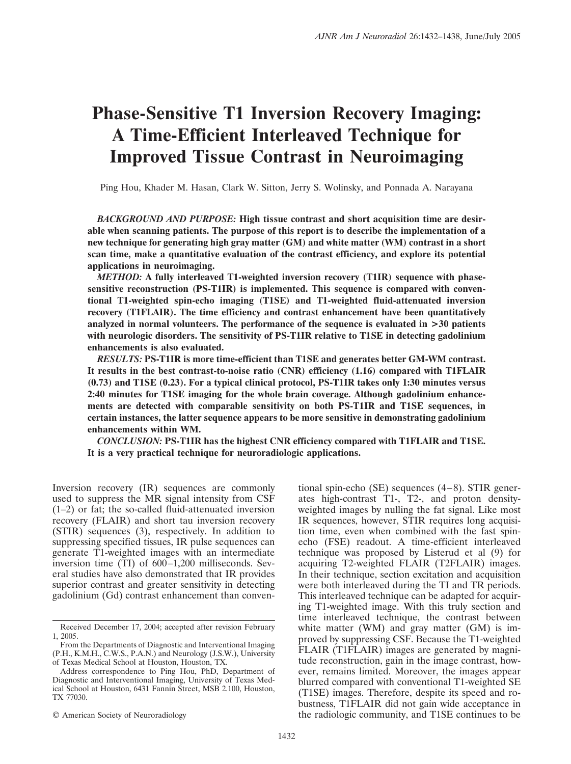# **Phase-Sensitive T1 Inversion Recovery Imaging: A Time-Efficient Interleaved Technique for Improved Tissue Contrast in Neuroimaging**

Ping Hou, Khader M. Hasan, Clark W. Sitton, Jerry S. Wolinsky, and Ponnada A. Narayana

*BACKGROUND AND PURPOSE:* **High tissue contrast and short acquisition time are desirable when scanning patients. The purpose of this report is to describe the implementation of a new technique for generating high gray matter (GM) and white matter (WM) contrast in a short scan time, make a quantitative evaluation of the contrast efficiency, and explore its potential applications in neuroimaging.**

*METHOD:* **A fully interleaved T1-weighted inversion recovery (T1IR) sequence with phasesensitive reconstruction (PS-T1IR) is implemented. This sequence is compared with conventional T1-weighted spin-echo imaging (T1SE) and T1-weighted fluid-attenuated inversion recovery (T1FLAIR). The time efficiency and contrast enhancement have been quantitatively analyzed in normal volunteers. The performance of the sequence is evaluated in >30 patients with neurologic disorders. The sensitivity of PS-T1IR relative to T1SE in detecting gadolinium enhancements is also evaluated.**

*RESULTS:* **PS-T1IR is more time-efficient than T1SE and generates better GM-WM contrast. It results in the best contrast-to-noise ratio (CNR) efficiency (1.16) compared with T1FLAIR (0.73) and T1SE (0.23). For a typical clinical protocol, PS-T1IR takes only 1:30 minutes versus 2:40 minutes for T1SE imaging for the whole brain coverage. Although gadolinium enhancements are detected with comparable sensitivity on both PS-T1IR and T1SE sequences, in certain instances, the latter sequence appears to be more sensitive in demonstrating gadolinium enhancements within WM.**

*CONCLUSION:* **PS-T1IR has the highest CNR efficiency compared with T1FLAIR and T1SE. It is a very practical technique for neuroradiologic applications.**

Inversion recovery (IR) sequences are commonly used to suppress the MR signal intensity from CSF (1–2) or fat; the so-called fluid-attenuated inversion recovery (FLAIR) and short tau inversion recovery (STIR) sequences (3), respectively. In addition to suppressing specified tissues, IR pulse sequences can generate T1-weighted images with an intermediate inversion time  $(TI)$  of  $600-1,200$  milliseconds. Several studies have also demonstrated that IR provides superior contrast and greater sensitivity in detecting gadolinium (Gd) contrast enhancement than conven-

tional spin-echo (SE) sequences  $(4-8)$ . STIR generates high-contrast T1-, T2-, and proton densityweighted images by nulling the fat signal. Like most IR sequences, however, STIR requires long acquisition time, even when combined with the fast spinecho (FSE) readout. A time-efficient interleaved technique was proposed by Listerud et al (9) for acquiring T2-weighted FLAIR (T2FLAIR) images. In their technique, section excitation and acquisition were both interleaved during the TI and TR periods. This interleaved technique can be adapted for acquiring T1-weighted image. With this truly section and time interleaved technique, the contrast between white matter (WM) and gray matter (GM) is improved by suppressing CSF. Because the T1-weighted FLAIR (T1FLAIR) images are generated by magnitude reconstruction, gain in the image contrast, however, remains limited. Moreover, the images appear blurred compared with conventional T1-weighted SE (T1SE) images. Therefore, despite its speed and robustness, T1FLAIR did not gain wide acceptance in the radiologic community, and T1SE continues to be

Received December 17, 2004; accepted after revision February 1, 2005.

From the Departments of Diagnostic and Interventional Imaging (P.H., K.M.H., C.W.S., P.A.N.) and Neurology (J.S.W.), University of Texas Medical School at Houston, Houston, TX.

Address correspondence to Ping Hou, PhD, Department of Diagnostic and Interventional Imaging, University of Texas Medical School at Houston, 6431 Fannin Street, MSB 2.100, Houston, TX 77030.

<sup>©</sup> American Society of Neuroradiology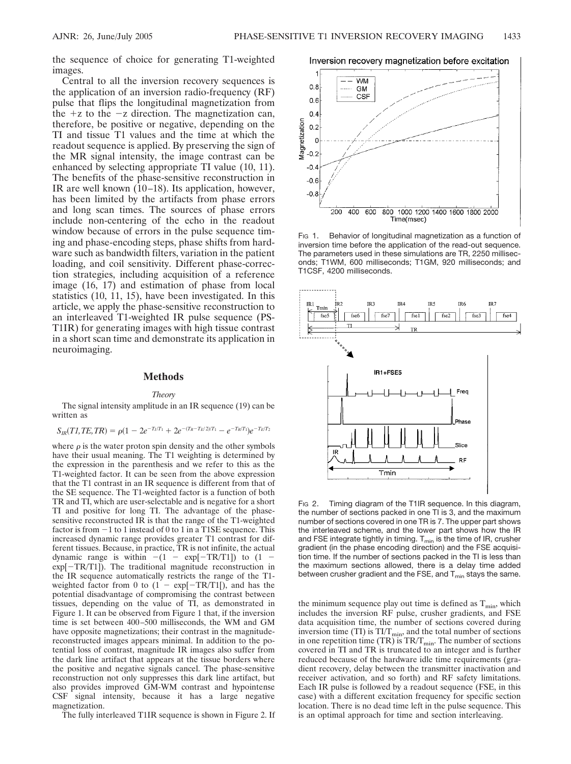the sequence of choice for generating T1-weighted images.

Central to all the inversion recovery sequences is the application of an inversion radio-frequency (RF) pulse that flips the longitudinal magnetization from the  $+z$  to the  $-z$  direction. The magnetization can, therefore, be positive or negative, depending on the TI and tissue T1 values and the time at which the readout sequence is applied. By preserving the sign of the MR signal intensity, the image contrast can be enhanced by selecting appropriate TI value (10, 11). The benefits of the phase-sensitive reconstruction in IR are well known  $(10-18)$ . Its application, however, has been limited by the artifacts from phase errors and long scan times. The sources of phase errors include non-centering of the echo in the readout window because of errors in the pulse sequence timing and phase-encoding steps, phase shifts from hardware such as bandwidth filters, variation in the patient loading, and coil sensitivity. Different phase-correction strategies, including acquisition of a reference image (16, 17) and estimation of phase from local statistics (10, 11, 15), have been investigated. In this article, we apply the phase-sensitive reconstruction to an interleaved T1-weighted IR pulse sequence (PS-T1IR) for generating images with high tissue contrast in a short scan time and demonstrate its application in neuroimaging.

#### **Methods**

#### *Theory*

The signal intensity amplitude in an IR sequence (19) can be written as

$$
S_{IR}(T1, TE, TR) = \rho(1 - 2e^{-T_I/T_1} + 2e^{-(T_R - T_E/2)/T_1} - e^{-T_R/T_1})e^{-T_E/T_2}
$$

where  $\rho$  is the water proton spin density and the other symbols have their usual meaning. The T1 weighting is determined by the expression in the parenthesis and we refer to this as the T1-weighted factor. It can be seen from the above expression that the T1 contrast in an IR sequence is different from that of the SE sequence. The T1-weighted factor is a function of both TR and TI, which are user-selectable and is negative for a short TI and positive for long TI. The advantage of the phasesensitive reconstructed IR is that the range of the T1-weighted factor is from -1 to 1 instead of 0 to 1 in a T1SE sequence. This increased dynamic range provides greater T1 contrast for different tissues. Because, in practice, TR is not infinite, the actual dynamic range is within  $-(1 - \exp[-TR/T1])$  to  $(1$ exp[-TR/T1]). The traditional magnitude reconstruction in the IR sequence automatically restricts the range of the T1 weighted factor from 0 to  $(1 - \exp[-TR/T1])$ , and has the potential disadvantage of compromising the contrast between tissues, depending on the value of TI, as demonstrated in Figure 1. It can be observed from Figure 1 that, if the inversion time is set between 400 –500 milliseconds, the WM and GM have opposite magnetizations; their contrast in the magnitudereconstructed images appears minimal. In addition to the potential loss of contrast, magnitude IR images also suffer from the dark line artifact that appears at the tissue borders where the positive and negative signals cancel. The phase-sensitive reconstruction not only suppresses this dark line artifact, but also provides improved GM-WM contrast and hypointense CSF signal intensity, because it has a large negative magnetization.

The fully interleaved T1IR sequence is shown in Figure 2. If

Inversion recovery magnetization before excitation



Fig 1. Behavior of longitudinal magnetization as a function of inversion time before the application of the read-out sequence. The parameters used in these simulations are TR, 2250 milliseconds; T1WM, 600 milliseconds; T1GM, 920 milliseconds; and T1CSF, 4200 milliseconds.



Fig 2. Timing diagram of the T1IR sequence. In this diagram, the number of sections packed in one TI is 3, and the maximum number of sections covered in one TR is 7. The upper part shows the interleaved scheme, and the lower part shows how the IR and FSE integrate tightly in timing.  $T_{min}$  is the time of IR, crusher gradient (in the phase encoding direction) and the FSE acquisition time. If the number of sections packed in the TI is less than the maximum sections allowed, there is a delay time added between crusher gradient and the FSE, and  $T_{min}$  stays the same.

the minimum sequence play out time is defined as  $T_{\text{min}}$ , which includes the inversion RF pulse, crusher gradients, and FSE data acquisition time, the number of sections covered during inversion time (TI) is  $TI/T_{min}$ , and the total number of sections in one repetition time (TR) is  $TR/T_{min}$ . The number of sections covered in TI and TR is truncated to an integer and is further reduced because of the hardware idle time requirements (gradient recovery, delay between the transmitter inactivation and receiver activation, and so forth) and RF safety limitations. Each IR pulse is followed by a readout sequence (FSE, in this case) with a different excitation frequency for specific section location. There is no dead time left in the pulse sequence. This is an optimal approach for time and section interleaving.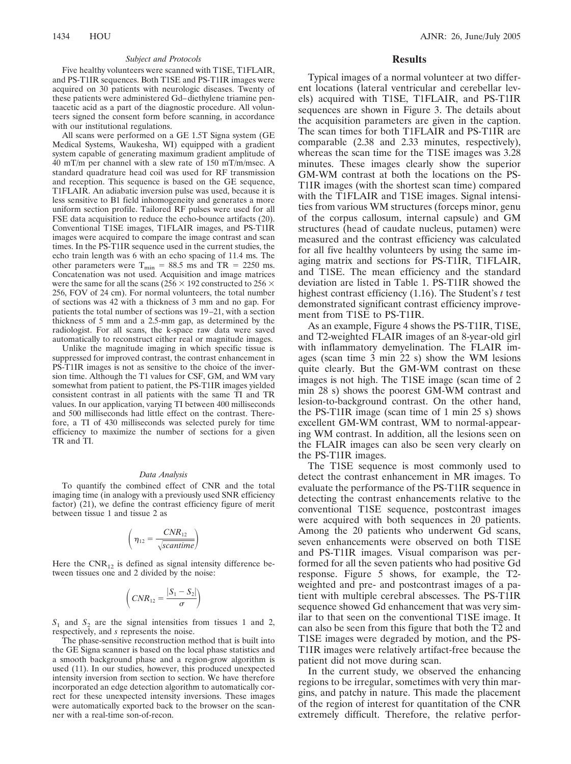#### *Subject and Protocols*

Five healthy volunteers were scanned with T1SE, T1FLAIR, and PS-T1IR sequences. Both T1SE and PS-T1IR images were acquired on 30 patients with neurologic diseases. Twenty of these patients were administered Gd– diethylene triamine pentaacetic acid as a part of the diagnostic procedure. All volunteers signed the consent form before scanning, in accordance with our institutional regulations.

All scans were performed on a GE 1.5T Signa system (GE Medical Systems, Waukesha, WI) equipped with a gradient system capable of generating maximum gradient amplitude of 40 mT/m per channel with a slew rate of 150 mT/m/msec. A standard quadrature head coil was used for RF transmission and reception. This sequence is based on the GE sequence, T1FLAIR. An adiabatic inversion pulse was used, because it is less sensitive to B1 field inhomogeneity and generates a more uniform section profile. Tailored RF pulses were used for all FSE data acquisition to reduce the echo-bounce artifacts (20). Conventional T1SE images, T1FLAIR images, and PS-T1IR images were acquired to compare the image contrast and scan times. In the PS-T1IR sequence used in the current studies, the echo train length was 6 with an echo spacing of 11.4 ms. The other parameters were  $T_{\text{min}} = 88.5$  ms and TR = 2250 ms. Concatenation was not used. Acquisition and image matrices were the same for all the scans ( $256 \times 192$  constructed to  $256 \times$ 256, FOV of 24 cm). For normal volunteers, the total number of sections was 42 with a thickness of 3 mm and no gap. For patients the total number of sections was 19 –21, with a section thickness of 5 mm and a 2.5-mm gap, as determined by the radiologist. For all scans, the k-space raw data were saved automatically to reconstruct either real or magnitude images.

Unlike the magnitude imaging in which specific tissue is suppressed for improved contrast, the contrast enhancement in PS-T1IR images is not as sensitive to the choice of the inversion time. Although the T1 values for CSF, GM, and WM vary somewhat from patient to patient, the PS-T1IR images yielded consistent contrast in all patients with the same TI and TR values. In our application, varying TI between 400 milliseconds and 500 milliseconds had little effect on the contrast. Therefore, a TI of 430 milliseconds was selected purely for time efficiency to maximize the number of sections for a given TR and TI.

#### *Data Analysis*

To quantify the combined effect of CNR and the total imaging time (in analogy with a previously used SNR efficiency factor) (21), we define the contrast efficiency figure of merit between tissue 1 and tissue 2 as

$$
\left(\eta_{12} = \frac{\text{CNR}_{12}}{\sqrt{\text{scantine}}}\right)
$$

Here the  $CNR_{12}$  is defined as signal intensity difference between tissues one and 2 divided by the noise:

$$
\left(CNR_{12}=\frac{|S_1-S_2|}{\sigma}\right)
$$

 $S_1$  and  $S_2$  are the signal intensities from tissues 1 and 2, respectively, and *s* represents the noise.

The phase-sensitive reconstruction method that is built into the GE Signa scanner is based on the local phase statistics and a smooth background phase and a region-grow algorithm is used (11). In our studies, however, this produced unexpected intensity inversion from section to section. We have therefore incorporated an edge detection algorithm to automatically correct for these unexpected intensity inversions. These images were automatically exported back to the browser on the scanner with a real-time son-of-recon.

### **Results**

Typical images of a normal volunteer at two different locations (lateral ventricular and cerebellar levels) acquired with T1SE, T1FLAIR, and PS-T1IR sequences are shown in Figure 3. The details about the acquisition parameters are given in the caption. The scan times for both T1FLAIR and PS-T1IR are comparable (2.38 and 2.33 minutes, respectively), whereas the scan time for the T1SE images was 3.28 minutes. These images clearly show the superior GM-WM contrast at both the locations on the PS-T1IR images (with the shortest scan time) compared with the T1FLAIR and T1SE images. Signal intensities from various WM structures (forceps minor, genu of the corpus callosum, internal capsule) and GM structures (head of caudate nucleus, putamen) were measured and the contrast efficiency was calculated for all five healthy volunteers by using the same imaging matrix and sections for PS-T1IR, T1FLAIR, and T1SE. The mean efficiency and the standard deviation are listed in Table 1. PS-T1IR showed the highest contrast efficiency (1.16). The Student's *t* test demonstrated significant contrast efficiency improvement from T1SE to PS-T1IR.

As an example, Figure 4 shows the PS-T1IR, T1SE, and T2-weighted FLAIR images of an 8-year-old girl with inflammatory demyelination. The FLAIR images (scan time 3 min 22 s) show the WM lesions quite clearly. But the GM-WM contrast on these images is not high. The T1SE image (scan time of 2 min 28 s) shows the poorest GM-WM contrast and lesion-to-background contrast. On the other hand, the PS-T1IR image (scan time of 1 min 25 s) shows excellent GM-WM contrast, WM to normal-appearing WM contrast. In addition, all the lesions seen on the FLAIR images can also be seen very clearly on the PS-T1IR images.

The T1SE sequence is most commonly used to detect the contrast enhancement in MR images. To evaluate the performance of the PS-T1IR sequence in detecting the contrast enhancements relative to the conventional T1SE sequence, postcontrast images were acquired with both sequences in 20 patients. Among the 20 patients who underwent Gd scans, seven enhancements were observed on both T1SE and PS-T1IR images. Visual comparison was performed for all the seven patients who had positive Gd response. Figure 5 shows, for example, the T2 weighted and pre- and postcontrast images of a patient with multiple cerebral abscesses. The PS-T1IR sequence showed Gd enhancement that was very similar to that seen on the conventional T1SE image. It can also be seen from this figure that both the T2 and T1SE images were degraded by motion, and the PS-T1IR images were relatively artifact-free because the patient did not move during scan.

In the current study, we observed the enhancing regions to be irregular, sometimes with very thin margins, and patchy in nature. This made the placement of the region of interest for quantitation of the CNR extremely difficult. Therefore, the relative perfor-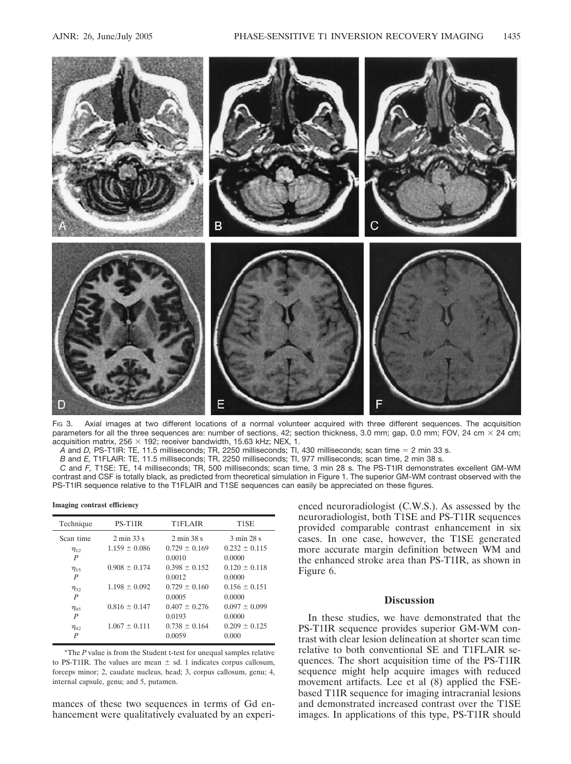

FIG 3. Axial images at two different locations of a normal volunteer acquired with three different sequences. The acquisition parameters for all the three sequences are: number of sections, 42; section thickness, 3.0 mm; gap, 0.0 mm; FOV, 24 cm  $\times$  24 cm; acquisition matrix,  $256 \times 192$ ; receiver bandwidth, 15.63 kHz; NEX, 1.

*A* and *D,* PS-T1IR: TE, 11.5 milliseconds; TR, 2250 milliseconds; TI, 430 milliseconds; scan time 2 min 33 s.

*B* and *E,* T1FLAIR: TE, 11.5 milliseconds; TR, 2250 milliseconds; TI, 977 milliseconds; scan time, 2 min 38 s.

*C* and *F,* T1SE: TE, 14 milliseconds; TR, 500 milliseconds; scan time, 3 min 28 s. The PS-T1IR demonstrates excellent GM-WM contrast and CSF is totally black, as predicted from theoretical simulation in Figure 1. The superior GM-WM contrast observed with the PS-T1IR sequence relative to the T1FLAIR and T1SE sequences can easily be appreciated on these figures.

**Imaging contrast efficiency**

| Technique        | PS-T1IR                       | T1FLAIR                       | T1SE              |
|------------------|-------------------------------|-------------------------------|-------------------|
| Scan time        | $2 \text{ min } 33 \text{ s}$ | $2 \text{ min } 38 \text{ s}$ | 3 min 28 s        |
| $\eta_{12}$      | $1.159 \pm 0.086$             | $0.729 \pm 0.169$             | $0.232 \pm 0.115$ |
| $\boldsymbol{P}$ |                               | 0.0010                        | 0.0000            |
| $\eta_{15}$      | $0.908 \pm 0.174$             | $0.398 \pm 0.152$             | $0.120 \pm 0.118$ |
| P                |                               | 0.0012                        | 0.0000            |
| $\eta_{32}$      | $1.198 \pm 0.092$             | $0.729 \pm 0.160$             | $0.156 \pm 0.151$ |
| P                |                               | 0.0005                        | 0.0000            |
| $\eta_{45}$      | $0.816 \pm 0.147$             | $0.407 \pm 0.276$             | $0.097 \pm 0.099$ |
| P                |                               | 0.0193                        | 0.0000            |
| $\eta_{42}$      | $1.067 \pm 0.111$             | $0.738 \pm 0.164$             | $0.209 \pm 0.125$ |
| P                |                               | 0.0059                        | 0.000             |

\*The *P* value is from the Student t-test for unequal samples relative to PS-T1IR. The values are mean  $\pm$  sd. 1 indicates corpus callosum, forceps minor; 2, caudate nucleus, head; 3, corpus callosum, genu; 4, internal capsule, genu; and 5, putamen.

mances of these two sequences in terms of Gd enhancement were qualitatively evaluated by an experi-

enced neuroradiologist (C.W.S.). As assessed by the neuroradiologist, both T1SE and PS-T1IR sequences provided comparable contrast enhancement in six cases. In one case, however, the T1SE generated more accurate margin definition between WM and the enhanced stroke area than PS-T1IR, as shown in Figure 6.

## **Discussion**

In these studies, we have demonstrated that the PS-T1IR sequence provides superior GM-WM contrast with clear lesion delineation at shorter scan time relative to both conventional SE and T1FLAIR sequences. The short acquisition time of the PS-T1IR sequence might help acquire images with reduced movement artifacts. Lee et al (8) applied the FSEbased T1IR sequence for imaging intracranial lesions and demonstrated increased contrast over the T1SE images. In applications of this type, PS-T1IR should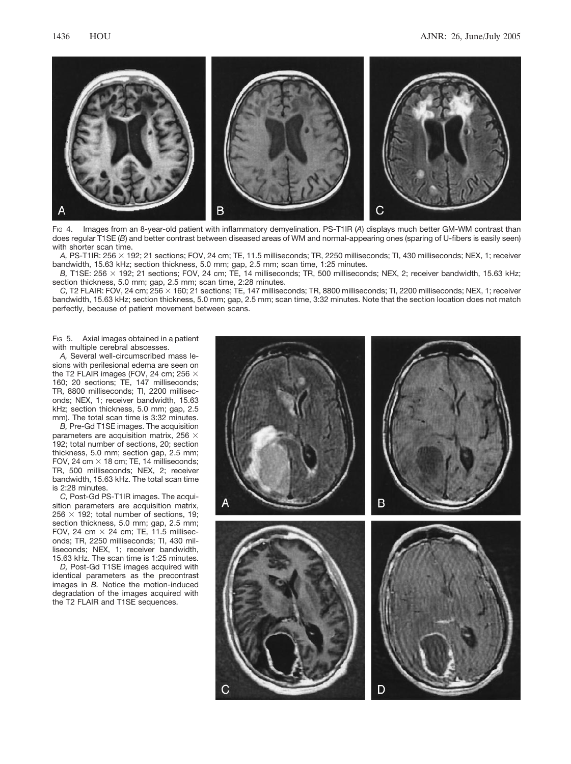

FIG 4. Images from an 8-year-old patient with inflammatory demyelination. PS-T1IR (*A*) displays much better GM-WM contrast than does regular T1SE (*B*) and better contrast between diseased areas of WM and normal-appearing ones (sparing of U-fibers is easily seen) with shorter scan time.

*A,* PS-T1IR: 256 192; 21 sections; FOV, 24 cm; TE, 11.5 milliseconds; TR, 2250 milliseconds; TI, 430 milliseconds; NEX, 1; receiver bandwidth, 15.63 kHz; section thickness, 5.0 mm; gap, 2.5 mm; scan time, 1:25 minutes.

*B*, T1SE: 256 × 192; 21 sections; FOV, 24 cm; TE, 14 milliseconds; TR, 500 milliseconds; NEX, 2; receiver bandwidth, 15.63 kHz; section thickness, 5.0 mm; gap, 2.5 mm; scan time, 2:28 minutes.

*C,* T2 FLAIR: FOV, 24 cm; 256 160; 21 sections; TE, 147 milliseconds; TR, 8800 milliseconds; TI, 2200 milliseconds; NEX, 1; receiver bandwidth, 15.63 kHz; section thickness, 5.0 mm; gap, 2.5 mm; scan time, 3:32 minutes. Note that the section location does not match perfectly, because of patient movement between scans.

F<sub>IG</sub> 5. Axial images obtained in a patient with multiple cerebral abscesses.

*A,* Several well-circumscribed mass lesions with perilesional edema are seen on the T2 FLAIR images (FOV, 24 cm; 256  $\times$ 160; 20 sections; TE, 147 milliseconds; TR, 8800 milliseconds; TI, 2200 milliseconds; NEX, 1; receiver bandwidth, 15.63 kHz; section thickness, 5.0 mm; gap, 2.5 mm). The total scan time is 3:32 minutes.

*B,* Pre-Gd T1SE images. The acquisition parameters are acquisition matrix, 256  $\times$ 192; total number of sections, 20; section thickness, 5.0 mm; section gap, 2.5 mm; FOV, 24 cm  $\times$  18 cm; TE, 14 milliseconds; TR, 500 milliseconds; NEX, 2; receiver bandwidth, 15.63 kHz. The total scan time is 2:28 minutes.

*C,* Post-Gd PS-T1IR images. The acquisition parameters are acquisition matrix, 256  $\times$  192; total number of sections, 19; section thickness, 5.0 mm; gap, 2.5 mm; FOV, 24 cm  $\times$  24 cm; TE, 11.5 milliseconds; TR, 2250 milliseconds; TI, 430 milliseconds; NEX, 1; receiver bandwidth, 15.63 kHz. The scan time is 1:25 minutes.

*D,* Post-Gd T1SE images acquired with identical parameters as the precontrast images in *B.* Notice the motion-induced degradation of the images acquired with the T2 FLAIR and T1SE sequences.

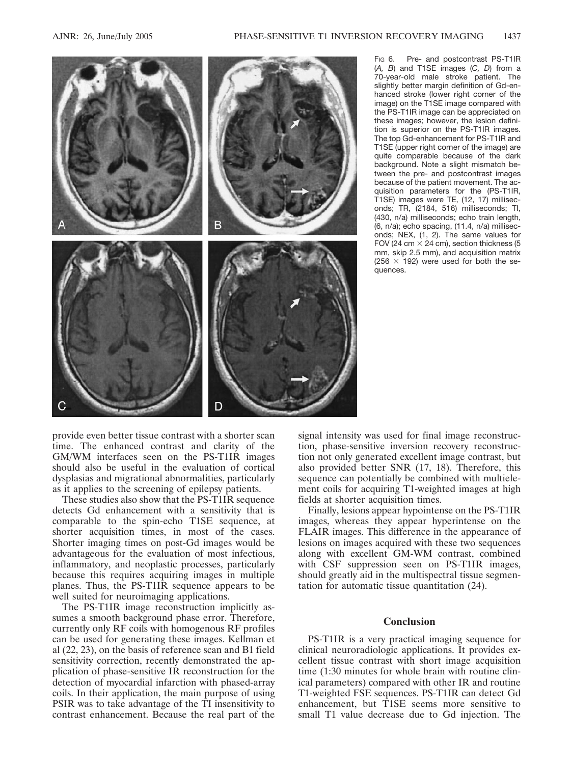

FIG 6. Pre- and postcontrast PS-T1IR (*A, B*) and T1SE images (*C, D*) from a 70-year-old male stroke patient. The slightly better margin definition of Gd-enhanced stroke (lower right corner of the image) on the T1SE image compared with the PS-T1IR image can be appreciated on these images; however, the lesion definition is superior on the PS-T1IR images. The top Gd-enhancement for PS-T1IR and T1SE (upper right corner of the image) are quite comparable because of the dark background. Note a slight mismatch between the pre- and postcontrast images because of the patient movement. The acquisition parameters for the (PS-T1IR, T1SE) images were TE, (12, 17) milliseconds; TR, (2184, 516) milliseconds; TI, (430, n/a) milliseconds; echo train length, (6, n/a); echo spacing, (11.4, n/a) milliseconds; NEX, (1, 2). The same values for FOV (24 cm  $\times$  24 cm), section thickness (5 mm, skip 2.5 mm), and acquisition matrix (256  $\times$  192) were used for both the sequences.

provide even better tissue contrast with a shorter scan time. The enhanced contrast and clarity of the GM/WM interfaces seen on the PS-T1IR images should also be useful in the evaluation of cortical dysplasias and migrational abnormalities, particularly as it applies to the screening of epilepsy patients.

These studies also show that the PS-T1IR sequence detects Gd enhancement with a sensitivity that is comparable to the spin-echo T1SE sequence, at shorter acquisition times, in most of the cases. Shorter imaging times on post-Gd images would be advantageous for the evaluation of most infectious, inflammatory, and neoplastic processes, particularly because this requires acquiring images in multiple planes. Thus, the PS-T1IR sequence appears to be well suited for neuroimaging applications.

The PS-T1IR image reconstruction implicitly assumes a smooth background phase error. Therefore, currently only RF coils with homogenous RF profiles can be used for generating these images. Kellman et al (22, 23), on the basis of reference scan and B1 field sensitivity correction, recently demonstrated the application of phase-sensitive IR reconstruction for the detection of myocardial infarction with phased-array coils. In their application, the main purpose of using PSIR was to take advantage of the TI insensitivity to contrast enhancement. Because the real part of the

signal intensity was used for final image reconstruction, phase-sensitive inversion recovery reconstruction not only generated excellent image contrast, but also provided better SNR (17, 18). Therefore, this sequence can potentially be combined with multielement coils for acquiring T1-weighted images at high fields at shorter acquisition times.

Finally, lesions appear hypointense on the PS-T1IR images, whereas they appear hyperintense on the FLAIR images. This difference in the appearance of lesions on images acquired with these two sequences along with excellent GM-WM contrast, combined with CSF suppression seen on PS-T1IR images, should greatly aid in the multispectral tissue segmentation for automatic tissue quantitation (24).

## **Conclusion**

PS-T1IR is a very practical imaging sequence for clinical neuroradiologic applications. It provides excellent tissue contrast with short image acquisition time (1:30 minutes for whole brain with routine clinical parameters) compared with other IR and routine T1-weighted FSE sequences. PS-T1IR can detect Gd enhancement, but T1SE seems more sensitive to small T1 value decrease due to Gd injection. The